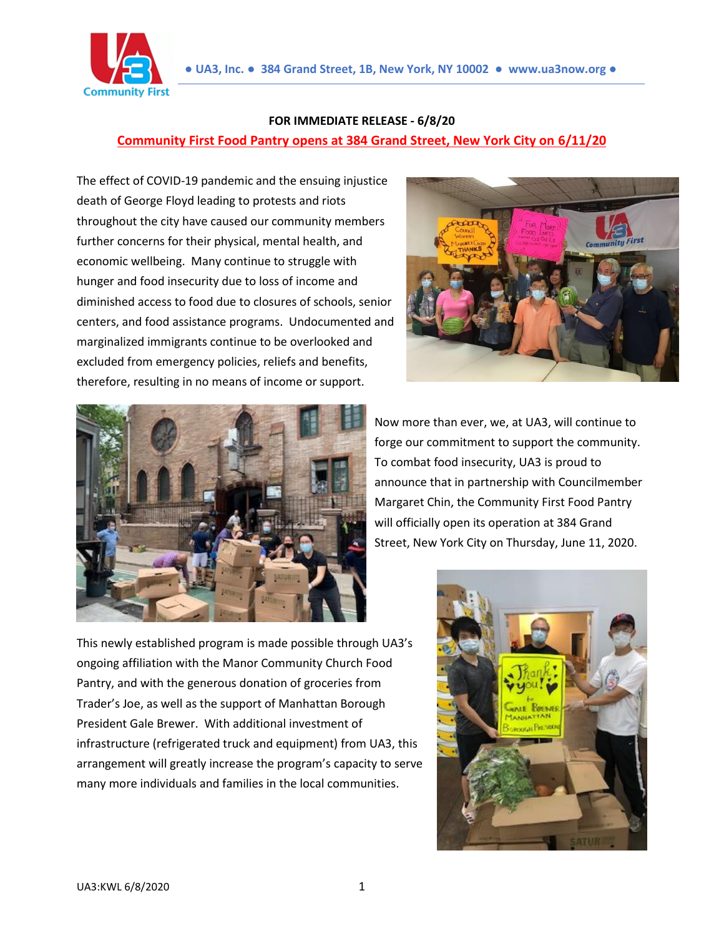

## **FOR IMMEDIATE RELEASE - 6/8/20 Community First Food Pantry opens at 384 Grand Street, New York City on 6/11/20**

The effect of COVID-19 pandemic and the ensuing injustice death of George Floyd leading to protests and riots throughout the city have caused our community members further concerns for their physical, mental health, and economic wellbeing. Many continue to struggle with hunger and food insecurity due to loss of income and diminished access to food due to closures of schools, senior centers, and food assistance programs. Undocumented and marginalized immigrants continue to be overlooked and excluded from emergency policies, reliefs and benefits, therefore, resulting in no means of income or support.



Now more than ever, we, at UA3, will continue to forge our commitment to support the community. To combat food insecurity, UA3 is proud to announce that in partnership with Councilmember Margaret Chin, the Community First Food Pantry will officially open its operation at 384 Grand Street, New York City on Thursday, June 11, 2020.

This newly established program is made possible through UA3's ongoing affiliation with the Manor Community Church Food Pantry, and with the generous donation of groceries from Trader's Joe, as well as the support of Manhattan Borough President Gale Brewer. With additional investment of infrastructure (refrigerated truck and equipment) from UA3, this arrangement will greatly increase the program's capacity to serve many more individuals and families in the local communities.